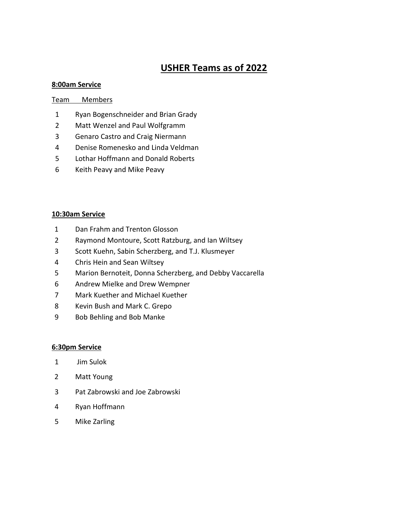## **USHER Teams as of 2022**

#### **8:00am Service**

#### Team Members

- Ryan Bogenschneider and Brian Grady
- Matt Wenzel and Paul Wolfgramm
- Genaro Castro and Craig Niermann
- Denise Romenesko and Linda Veldman
- Lothar Hoffmann and Donald Roberts
- Keith Peavy and Mike Peavy

#### **10:30am Service**

- Dan Frahm and Trenton Glosson
- Raymond Montoure, Scott Ratzburg, and Ian Wiltsey
- Scott Kuehn, Sabin Scherzberg, and T.J. Klusmeyer
- Chris Hein and Sean Wiltsey
- Marion Bernoteit, Donna Scherzberg, and Debby Vaccarella
- Andrew Mielke and Drew Wempner
- Mark Kuether and Michael Kuether
- Kevin Bush and Mark C. Grepo
- Bob Behling and Bob Manke

#### **6:30pm Service**

- Jim Sulok
- Matt Young
- Pat Zabrowski and Joe Zabrowski
- Ryan Hoffmann
- Mike Zarling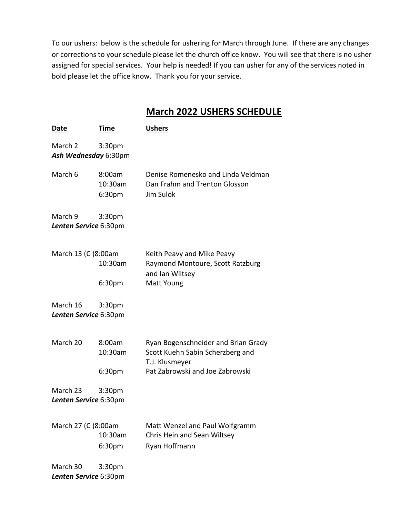To our ushers: below is the schedule for ushering for March through June. If there are any changes or corrections to your schedule please let the church office know. You will see that there is no usher assigned for special services. Your help is needed! If you can usher for any of the services noted in bold please let the office know. Thank you for your service.

### **March 2022 USHERS SCHEDULE**

| <u>Date</u>                       | Time                        | <b>Ushers</b>                                                                             |
|-----------------------------------|-----------------------------|-------------------------------------------------------------------------------------------|
| March 2<br>Ash Wednesday 6:30pm   | 3:30 <sub>pm</sub>          |                                                                                           |
| March 6                           | 8:00am<br>10:30am<br>6:30pm | Denise Romenesko and Linda Veldman<br>Dan Frahm and Trenton Glosson<br>Jim Sulok          |
| March 9<br>Lenten Service 6:30pm  | 3:30 <sub>pm</sub>          |                                                                                           |
| March 13 (C)8:00am                | 10:30am                     | Keith Peavy and Mike Peavy<br>Raymond Montoure, Scott Ratzburg<br>and Ian Wiltsey         |
|                                   | 6:30pm                      | Matt Young                                                                                |
| March 16<br>Lenten Service 6:30pm | 3:30 <sub>pm</sub>          |                                                                                           |
| March 20                          | 8:00am<br>10:30am           | Ryan Bogenschneider and Brian Grady<br>Scott Kuehn Sabin Scherzberg and<br>T.J. Klusmeyer |
|                                   | 6:30pm                      | Pat Zabrowski and Joe Zabrowski                                                           |
| March 23                          | 3:30 <sub>pm</sub>          |                                                                                           |
| Lenten Service 6:30pm             |                             |                                                                                           |
| March 27 (C)8:00am                | 10:30am<br>6:30pm           | Matt Wenzel and Paul Wolfgramm<br>Chris Hein and Sean Wiltsey<br>Ryan Hoffmann            |
| March 30<br>Lenten Service 6:30pm | 3:30 <sub>pm</sub>          |                                                                                           |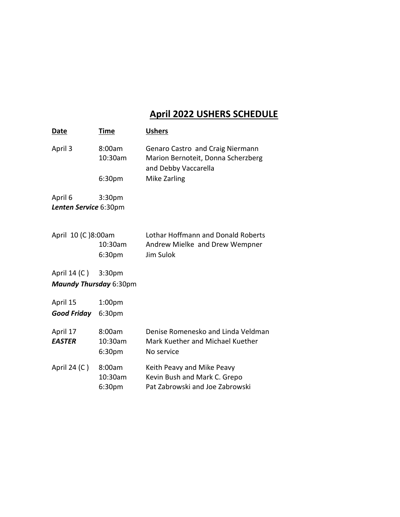# **April 2022 USHERS SCHEDULE**

| Date                                                                 | Time                         | <b>Ushers</b>                                                                                  |  |
|----------------------------------------------------------------------|------------------------------|------------------------------------------------------------------------------------------------|--|
| April 3                                                              | 8:00am<br>10:30am            | Genaro Castro and Craig Niermann<br>Marion Bernoteit, Donna Scherzberg<br>and Debby Vaccarella |  |
|                                                                      | 6:30pm                       | Mike Zarling                                                                                   |  |
| April 6<br>Lenten Service 6:30pm                                     | 3:30 <sub>pm</sub>           |                                                                                                |  |
| April 10 (C)8:00am<br>10:30am<br>6:30pm                              |                              | Lothar Hoffmann and Donald Roberts<br>Andrew Mielke and Drew Wempner<br>Jim Sulok              |  |
| April 14 (C )<br>3:30 <sub>pm</sub><br><b>Maundy Thursday 6:30pm</b> |                              |                                                                                                |  |
| April 15<br>Good Friday                                              | 1:00 <sub>pm</sub><br>6:30pm |                                                                                                |  |
| April 17<br><b>EASTER</b>                                            | 8:00am<br>10:30am<br>6:30pm  | Denise Romenesko and Linda Veldman<br>Mark Kuether and Michael Kuether<br>No service           |  |
| April 24 (C)                                                         | 8:00am<br>10:30am<br>6:30pm  | Keith Peavy and Mike Peavy<br>Kevin Bush and Mark C. Grepo<br>Pat Zabrowski and Joe Zabrowski  |  |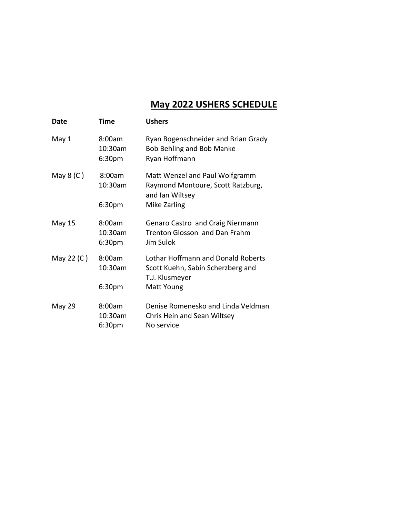# **May 2022 USHERS SCHEDULE**

| Date       | Time                        | <b>Ushers</b>                                                                             |  |
|------------|-----------------------------|-------------------------------------------------------------------------------------------|--|
| May 1      | 8:00am<br>10:30am<br>6:30pm | Ryan Bogenschneider and Brian Grady<br><b>Bob Behling and Bob Manke</b><br>Ryan Hoffmann  |  |
| May $8(C)$ | 8:00am<br>10:30am           | Matt Wenzel and Paul Wolfgramm<br>Raymond Montoure, Scott Ratzburg,<br>and Ian Wiltsey    |  |
|            | 6:30 <sub>pm</sub>          | Mike Zarling                                                                              |  |
| May 15     | 8:00am<br>10:30am<br>6:30pm | Genaro Castro and Craig Niermann<br>Trenton Glosson and Dan Frahm<br>Jim Sulok            |  |
| May 22 (C) | 8:00am<br>10:30am           | Lothar Hoffmann and Donald Roberts<br>Scott Kuehn, Sabin Scherzberg and<br>T.J. Klusmeyer |  |
|            | 6:30pm                      | Matt Young                                                                                |  |
| May 29     | 8:00am<br>10:30am<br>6:30pm | Denise Romenesko and Linda Veldman<br>Chris Hein and Sean Wiltsey<br>No service           |  |